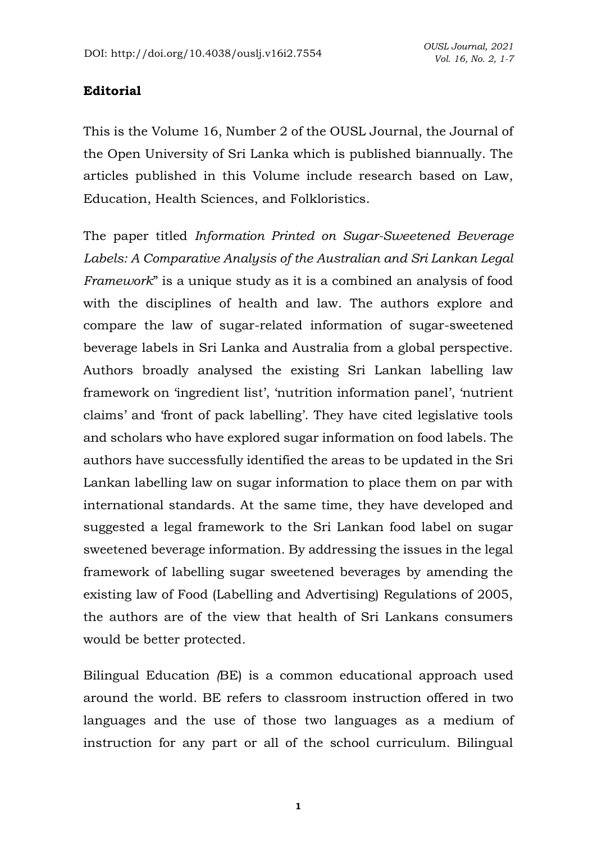## **Editorial**

This is the Volume 16, Number 2 of the OUSL Journal, the Journal of the Open University of Sri Lanka which is published biannually. The articles published in this Volume include research based on Law, Education, Health Sciences, and Folkloristics.

The paper titled *Information Printed on Sugar-Sweetened Beverage Labels: A Comparative Analysis of the Australian and Sri Lankan Legal Framework*" is a unique study as it is a combined an analysis of food with the disciplines of health and law. The authors explore and compare the law of sugar-related information of sugar-sweetened beverage labels in Sri Lanka and Australia from a global perspective. Authors broadly analysed the existing Sri Lankan labelling law framework on 'ingredient list', 'nutrition information panel', 'nutrient claims' and 'front of pack labelling'. They have cited legislative tools and scholars who have explored sugar information on food labels. The authors have successfully identified the areas to be updated in the Sri Lankan labelling law on sugar information to place them on par with international standards. At the same time, they have developed and suggested a legal framework to the Sri Lankan food label on sugar sweetened beverage information. By addressing the issues in the legal framework of labelling sugar sweetened beverages by amending the existing law of Food (Labelling and Advertising) Regulations of 2005, the authors are of the view that health of Sri Lankans consumers would be better protected.

Bilingual Education *(*BE) is a common educational approach used around the world. BE refers to classroom instruction offered in two languages and the use of those two languages as a medium of instruction for any part or all of the school curriculum. Bilingual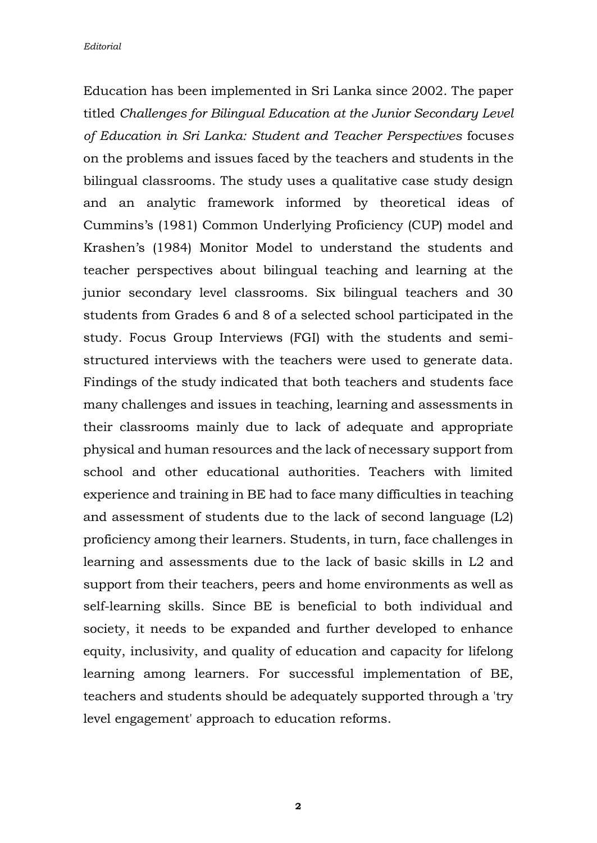Education has been implemented in Sri Lanka since 2002. The paper titled *Challenges for Bilingual Education at the Junior Secondary Level of Education in Sri Lanka: Student and Teacher Perspectives* focuse*s* on the problems and issues faced by the teachers and students in the bilingual classrooms. The study uses a qualitative case study design and an analytic framework informed by theoretical ideas of Cummins's (1981) Common Underlying Proficiency (CUP) model and Krashen's (1984) Monitor Model to understand the students and teacher perspectives about bilingual teaching and learning at the junior secondary level classrooms. Six bilingual teachers and 30 students from Grades 6 and 8 of a selected school participated in the study. Focus Group Interviews (FGI) with the students and semistructured interviews with the teachers were used to generate data. Findings of the study indicated that both teachers and students face many challenges and issues in teaching, learning and assessments in their classrooms mainly due to lack of adequate and appropriate physical and human resources and the lack of necessary support from school and other educational authorities. Teachers with limited experience and training in BE had to face many difficulties in teaching and assessment of students due to the lack of second language  $(L2)$ proficiency among their learners. Students, in turn, face challenges in learning and assessments due to the lack of basic skills in L2 and support from their teachers, peers and home environments as well as self-learning skills. Since BE is beneficial to both individual and society, it needs to be expanded and further developed to enhance equity, inclusivity, and quality of education and capacity for lifelong learning among learners. For successful implementation of BE, teachers and students should be adequately supported through a 'try level engagement' approach to education reforms.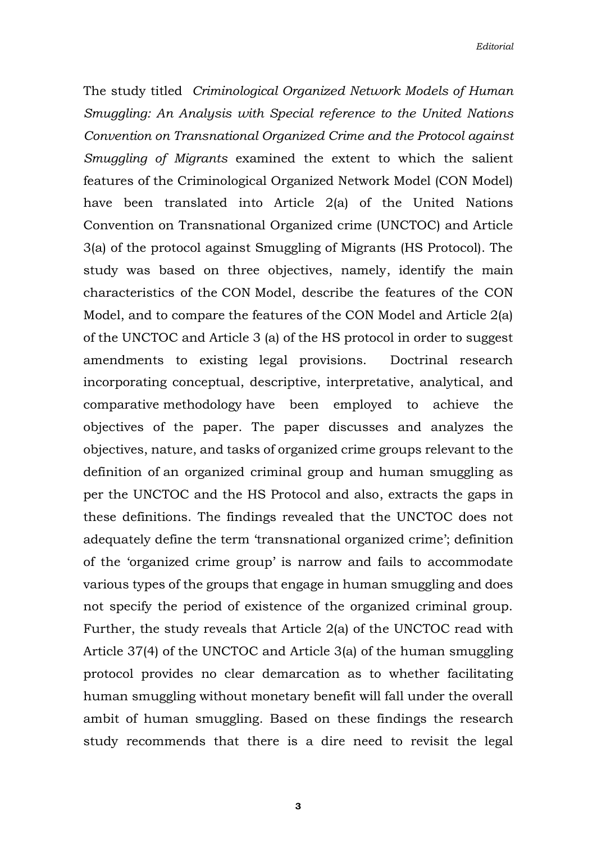The study titled *Criminological Organized Network Models of Human Smuggling: An Analysis with Special reference to the United Nations Convention on Transnational Organized Crime and the Protocol against Smuggling of Migrants* examined the extent to which the salient features of the Criminological Organized Network Model (CON Model) have been translated into Article 2(a) of the United Nations Convention on Transnational Organized crime (UNCTOC) and Article 3(a) of the protocol against Smuggling of Migrants (HS Protocol). The study was based on three objectives, namely, identify the main characteristics of the CON Model, describe the features of the CON Model, and to compare the features of the CON Model and Article 2(a) of the UNCTOC and Article 3 (a) of the HS protocol in order to suggest amendments to existing legal provisions. Doctrinal research incorporating conceptual, descriptive, interpretative, analytical, and comparative methodology have been employed to achieve the objectives of the paper. The paper discusses and analyzes the objectives, nature, and tasks of organized crime groups relevant to the definition of an organized criminal group and human smuggling as per the UNCTOC and the HS Protocol and also, extracts the gaps in these definitions. The findings revealed that the UNCTOC does not adequately define the term 'transnational organized crime'; definition of the 'organized crime group' is narrow and fails to accommodate various types of the groups that engage in human smuggling and does not specify the period of existence of the organized criminal group. Further, the study reveals that Article 2(a) of the UNCTOC read with Article 37(4) of the UNCTOC and Article 3(a) of the human smuggling protocol provides no clear demarcation as to whether facilitating human smuggling without monetary benefit will fall under the overall ambit of human smuggling. Based on these findings the research study recommends that there is a dire need to revisit the legal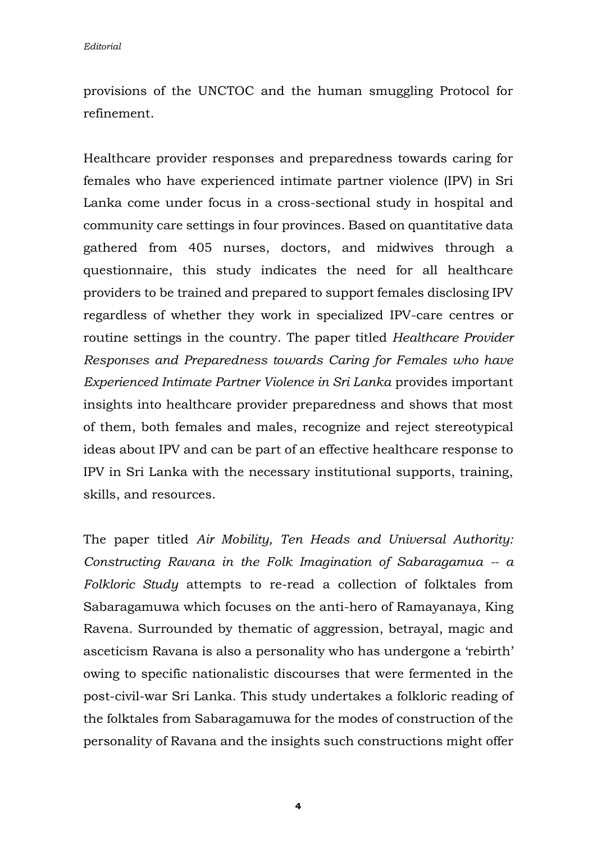provisions of the UNCTOC and the human smuggling Protocol for refinement.

Healthcare provider responses and preparedness towards caring for females who have experienced intimate partner violence (IPV) in Sri Lanka come under focus in a cross-sectional study in hospital and community care settings in four provinces. Based on quantitative data gathered from 405 nurses, doctors, and midwives through a questionnaire, this study indicates the need for all healthcare providers to be trained and prepared to support females disclosing IPV regardless of whether they work in specialized IPV-care centres or routine settings in the country. The paper titled *Healthcare Provider Responses and Preparedness towards Caring for Females who have Experienced Intimate Partner Violence in Sri Lanka* provides important insights into healthcare provider preparedness and shows that most of them, both females and males, recognize and reject stereotypical ideas about IPV and can be part of an effective healthcare response to IPV in Sri Lanka with the necessary institutional supports, training, skills, and resources.

The paper titled *Air Mobility, Ten Heads and Universal Authority: Constructing Ravana in the Folk Imagination of Sabaragamua -- a Folkloric Study* attempts to re-read a collection of folktales from Sabaragamuwa which focuses on the anti-hero of Ramayanaya, King Ravena. Surrounded by thematic of aggression, betrayal, magic and asceticism Ravana is also a personality who has undergone a 'rebirth' owing to specific nationalistic discourses that were fermented in the post-civil-war Sri Lanka. This study undertakes a folkloric reading of the folktales from Sabaragamuwa for the modes of construction of the personality of Ravana and the insights such constructions might offer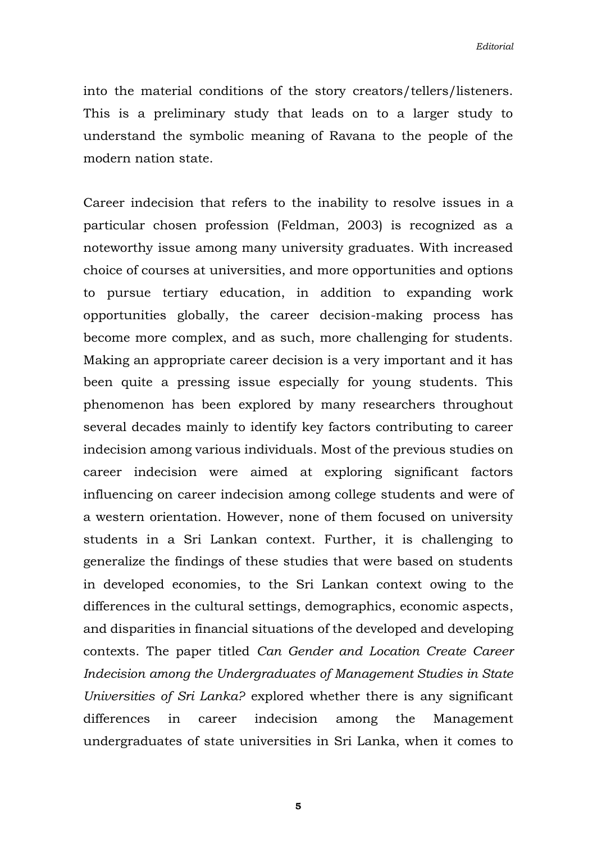into the material conditions of the story creators/tellers/listeners. This is a preliminary study that leads on to a larger study to understand the symbolic meaning of Ravana to the people of the modern nation state.

Career indecision that refers to the inability to resolve issues in a particular chosen profession (Feldman, 2003) is recognized as a noteworthy issue among many university graduates. With increased choice of courses at universities, and more opportunities and options to pursue tertiary education, in addition to expanding work opportunities globally, the career decision-making process has become more complex, and as such, more challenging for students. Making an appropriate career decision is a very important and it has been quite a pressing issue especially for young students. This phenomenon has been explored by many researchers throughout several decades mainly to identify key factors contributing to career indecision among various individuals. Most of the previous studies on career indecision were aimed at exploring significant factors influencing on career indecision among college students and were of a western orientation. However, none of them focused on university students in a Sri Lankan context. Further, it is challenging to generalize the findings of these studies that were based on students in developed economies, to the Sri Lankan context owing to the differences in the cultural settings, demographics, economic aspects, and disparities in financial situations of the developed and developing contexts. The paper titled *Can Gender and Location Create Career Indecision among the Undergraduates of Management Studies in State Universities of Sri Lanka?* explored whether there is any significant differences in career indecision among the Management undergraduates of state universities in Sri Lanka, when it comes to

**5**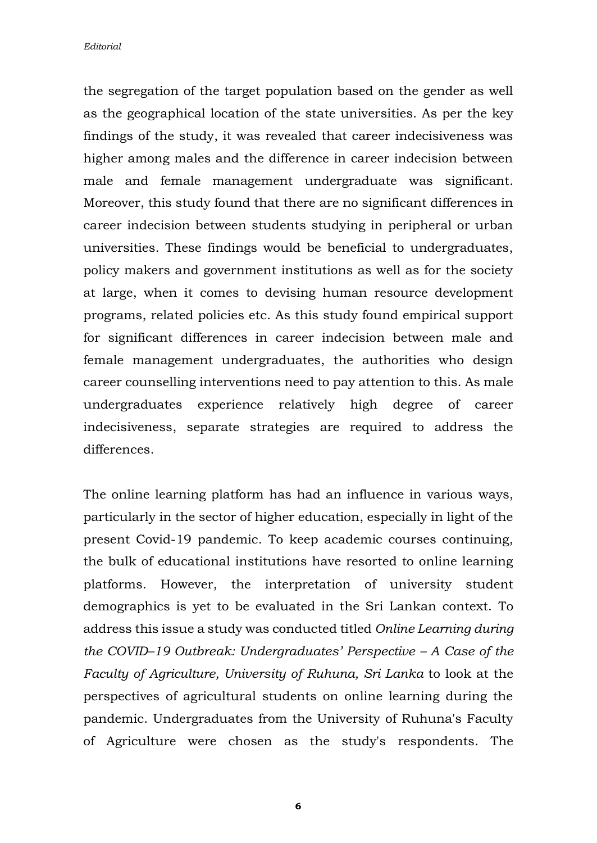*Editorial*

the segregation of the target population based on the gender as well as the geographical location of the state universities. As per the key findings of the study, it was revealed that career indecisiveness was higher among males and the difference in career indecision between male and female management undergraduate was significant. Moreover, this study found that there are no significant differences in career indecision between students studying in peripheral or urban universities. These findings would be beneficial to undergraduates, policy makers and government institutions as well as for the society at large, when it comes to devising human resource development programs, related policies etc. As this study found empirical support for significant differences in career indecision between male and female management undergraduates, the authorities who design career counselling interventions need to pay attention to this. As male undergraduates experience relatively high degree of career indecisiveness, separate strategies are required to address the differences.

The online learning platform has had an influence in various ways, particularly in the sector of higher education, especially in light of the present Covid-19 pandemic. To keep academic courses continuing, the bulk of educational institutions have resorted to online learning platforms. However, the interpretation of university student demographics is yet to be evaluated in the Sri Lankan context. To address this issue a study was conducted titled *Online Learning during the COVID–19 Outbreak: Undergraduates' Perspective – A Case of the Faculty of Agriculture, University of Ruhuna, Sri Lanka* to look at the perspectives of agricultural students on online learning during the pandemic. Undergraduates from the University of Ruhuna's Faculty of Agriculture were chosen as the study's respondents. The

**6**